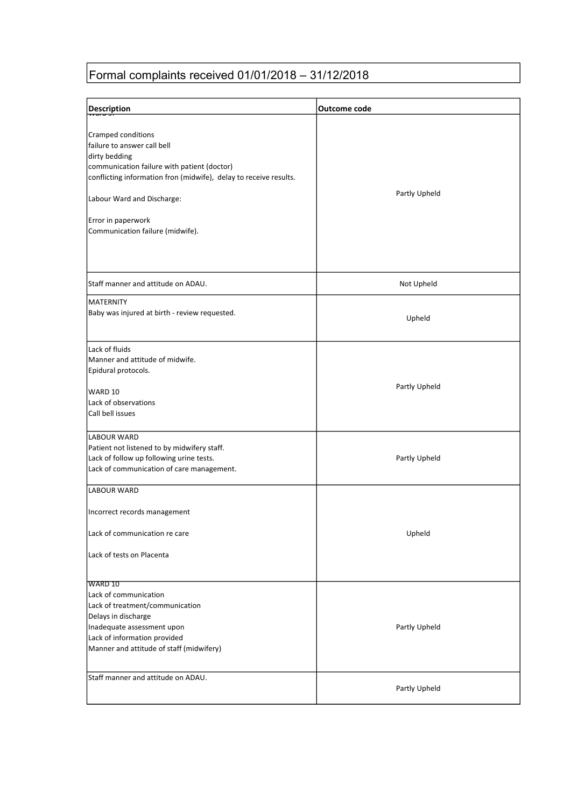### Formal complaints received 01/01/2018 – 31/12/2018

| <b>Description</b>                                                                                                                                                                                                                                                             | <b>Outcome code</b> |
|--------------------------------------------------------------------------------------------------------------------------------------------------------------------------------------------------------------------------------------------------------------------------------|---------------------|
| Cramped conditions<br>failure to answer call bell<br>dirty bedding<br>communication failure with patient (doctor)<br>conflicting information fron (midwife), delay to receive results.<br>Labour Ward and Discharge:<br>Error in paperwork<br>Communication failure (midwife). | Partly Upheld       |
| Staff manner and attitude on ADAU.                                                                                                                                                                                                                                             | Not Upheld          |
| <b>MATERNITY</b><br>Baby was injured at birth - review requested.                                                                                                                                                                                                              | Upheld              |
| Lack of fluids<br>Manner and attitude of midwife.<br>Epidural protocols.<br>WARD 10<br>Lack of observations<br>Call bell issues                                                                                                                                                | Partly Upheld       |
| LABOUR WARD<br>Patient not listened to by midwifery staff.<br>Lack of follow up following urine tests.<br>Lack of communication of care management.                                                                                                                            | Partly Upheld       |
| LABOUR WARD<br>Incorrect records management<br>Lack of communication re care<br>Lack of tests on Placenta                                                                                                                                                                      | Upheld              |
| WARD 10<br>Lack of communication<br>Lack of treatment/communication<br>Delays in discharge<br>Inadequate assessment upon<br>Lack of information provided<br>Manner and attitude of staff (midwifery)                                                                           | Partly Upheld       |
| Staff manner and attitude on ADAU.                                                                                                                                                                                                                                             | Partly Upheld       |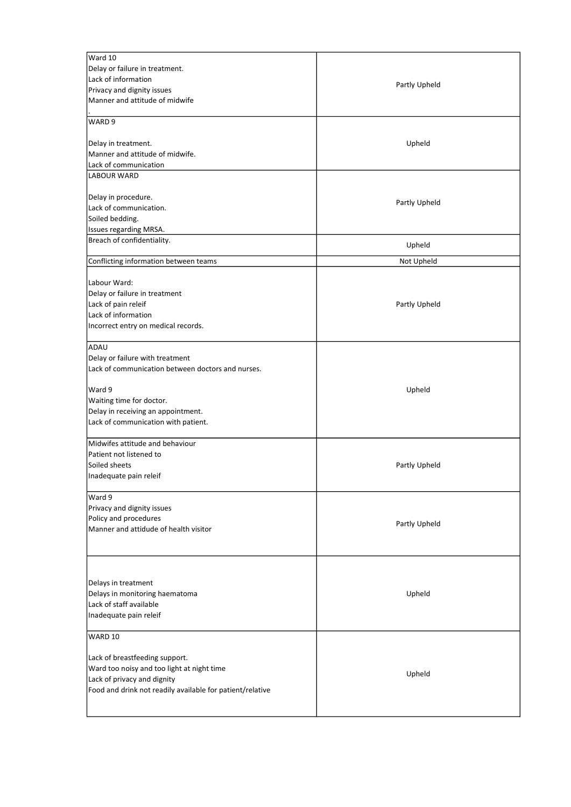| Ward 10                                                                                  |               |
|------------------------------------------------------------------------------------------|---------------|
| Delay or failure in treatment.                                                           |               |
| Lack of information                                                                      | Partly Upheld |
| Privacy and dignity issues                                                               |               |
| Manner and attitude of midwife                                                           |               |
| WARD <sub>9</sub>                                                                        |               |
| Delay in treatment.                                                                      | Upheld        |
| Manner and attitude of midwife.                                                          |               |
| Lack of communication                                                                    |               |
| <b>LABOUR WARD</b>                                                                       |               |
| Delay in procedure.                                                                      | Partly Upheld |
| Lack of communication.                                                                   |               |
| Soiled bedding.                                                                          |               |
| Issues regarding MRSA.                                                                   |               |
| Breach of confidentiality.                                                               | Upheld        |
| Conflicting information between teams                                                    | Not Upheld    |
| Labour Ward:                                                                             |               |
| Delay or failure in treatment                                                            |               |
| Lack of pain releif                                                                      | Partly Upheld |
| Lack of information                                                                      |               |
| Incorrect entry on medical records.                                                      |               |
| ADAU                                                                                     |               |
| Delay or failure with treatment                                                          |               |
| Lack of communication between doctors and nurses.                                        |               |
| Ward 9                                                                                   | Upheld        |
| Waiting time for doctor.                                                                 |               |
| Delay in receiving an appointment.                                                       |               |
| Lack of communication with patient.                                                      |               |
| Midwifes attitude and behaviour                                                          |               |
| Patient not listened to                                                                  |               |
| Soiled sheets                                                                            | Partly Upheld |
| Inadequate pain releif                                                                   |               |
| Ward 9                                                                                   |               |
| Privacy and dignity issues                                                               |               |
| Policy and procedures<br>Manner and attidude of health visitor                           | Partly Upheld |
|                                                                                          |               |
|                                                                                          |               |
| Delays in treatment                                                                      |               |
| Delays in monitoring haematoma                                                           | Upheld        |
| Lack of staff available                                                                  |               |
| Inadequate pain releif                                                                   |               |
| WARD 10                                                                                  |               |
|                                                                                          |               |
| Lack of breastfeeding support.                                                           |               |
| Ward too noisy and too light at night time                                               | Upheld        |
| Lack of privacy and dignity<br>Food and drink not readily available for patient/relative |               |
|                                                                                          |               |
|                                                                                          |               |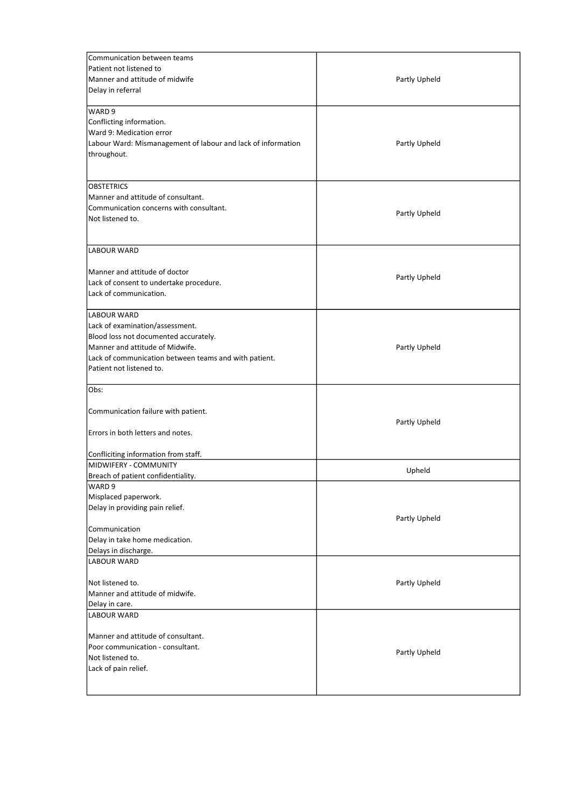| Communication between teams<br>Patient not listened to<br>Manner and attitude of midwife<br>Delay in referral                                                                                                          | Partly Upheld |
|------------------------------------------------------------------------------------------------------------------------------------------------------------------------------------------------------------------------|---------------|
| WARD 9<br>Conflicting information.<br>Ward 9: Medication error<br>Labour Ward: Mismanagement of labour and lack of information<br>throughout.                                                                          | Partly Upheld |
| <b>OBSTETRICS</b><br>Manner and attitude of consultant.<br>Communication concerns with consultant.<br>Not listened to.                                                                                                 | Partly Upheld |
| <b>LABOUR WARD</b><br>Manner and attitude of doctor<br>Lack of consent to undertake procedure.<br>Lack of communication.                                                                                               | Partly Upheld |
| <b>LABOUR WARD</b><br>Lack of examination/assessment.<br>Blood loss not documented accurately.<br>Manner and attitude of Midwife.<br>Lack of communication between teams and with patient.<br>Patient not listened to. | Partly Upheld |
| Obs:<br>Communication failure with patient.<br>Errors in both letters and notes.<br>Confliciting information from staff.                                                                                               | Partly Upheld |
| MIDWIFERY - COMMUNITY                                                                                                                                                                                                  | Upheld        |
| Breach of patient confidentiality.<br>WARD <sub>9</sub><br>Misplaced paperwork.<br>Delay in providing pain relief.<br>Communication<br>Delay in take home medication.<br>Delays in discharge.                          | Partly Upheld |
| <b>LABOUR WARD</b><br>Not listened to.<br>Manner and attitude of midwife.<br>Delay in care.                                                                                                                            | Partly Upheld |
| LABOUR WARD<br>Manner and attitude of consultant.<br>Poor communication - consultant.<br>Not listened to.<br>Lack of pain relief.                                                                                      | Partly Upheld |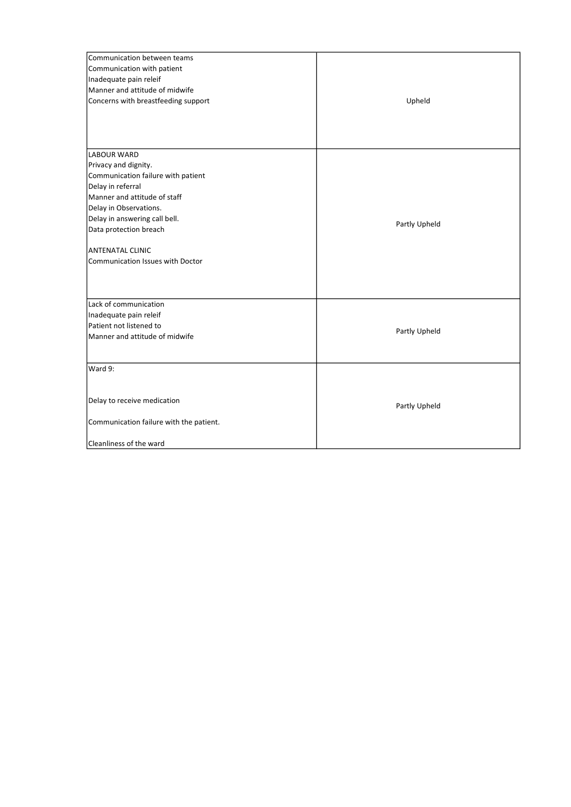| Communication between teams<br>Communication with patient<br>Inadequate pain releif<br>Manner and attitude of midwife<br>Concerns with breastfeeding support                                                                                                                              | Upheld        |
|-------------------------------------------------------------------------------------------------------------------------------------------------------------------------------------------------------------------------------------------------------------------------------------------|---------------|
| <b>LABOUR WARD</b><br>Privacy and dignity.<br>Communication failure with patient<br>Delay in referral<br>Manner and attitude of staff<br>Delay in Observations.<br>Delay in answering call bell.<br>Data protection breach<br><b>ANTENATAL CLINIC</b><br>Communication Issues with Doctor | Partly Upheld |
| Lack of communication<br>Inadequate pain releif<br>Patient not listened to<br>Manner and attitude of midwife                                                                                                                                                                              | Partly Upheld |
| Ward 9:<br>Delay to receive medication<br>Communication failure with the patient.<br>Cleanliness of the ward                                                                                                                                                                              | Partly Upheld |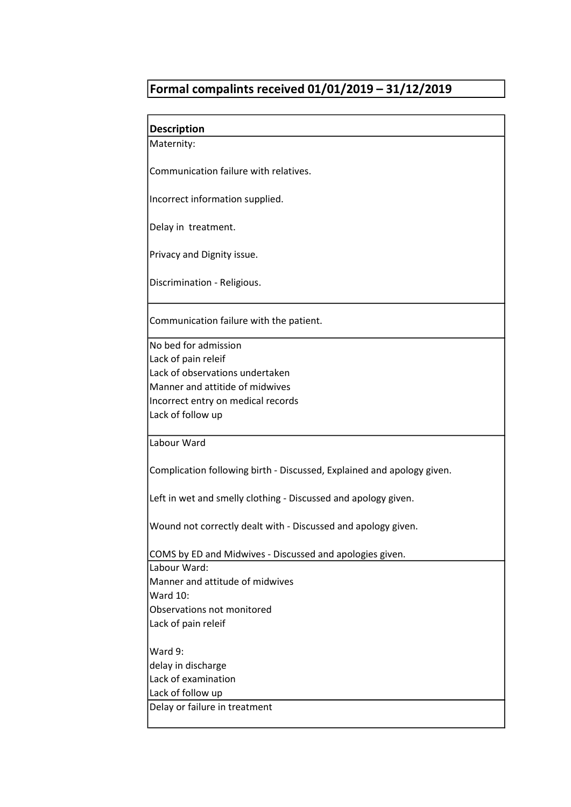## Formal compalints received 01/01/2019 – 31/12/2019

| <b>Description</b>                                                     |
|------------------------------------------------------------------------|
| Maternity:                                                             |
|                                                                        |
| Communication failure with relatives.                                  |
|                                                                        |
| Incorrect information supplied.                                        |
| Delay in treatment.                                                    |
|                                                                        |
| Privacy and Dignity issue.                                             |
| Discrimination - Religious.                                            |
| Communication failure with the patient.                                |
| No bed for admission                                                   |
| Lack of pain releif                                                    |
| Lack of observations undertaken                                        |
| Manner and attitide of midwives                                        |
| Incorrect entry on medical records                                     |
| Lack of follow up                                                      |
| Labour Ward                                                            |
| Complication following birth - Discussed, Explained and apology given. |
| Left in wet and smelly clothing - Discussed and apology given.         |
| Wound not correctly dealt with - Discussed and apology given.          |
| COMS by ED and Midwives - Discussed and apologies given.               |
| Labour Ward:                                                           |
| Manner and attitude of midwives                                        |
| <b>Ward 10:</b>                                                        |
| Observations not monitored                                             |
| Lack of pain releif                                                    |
| Ward 9:                                                                |
| delay in discharge                                                     |
| Lack of examination                                                    |
| Lack of follow up                                                      |
| Delay or failure in treatment                                          |
|                                                                        |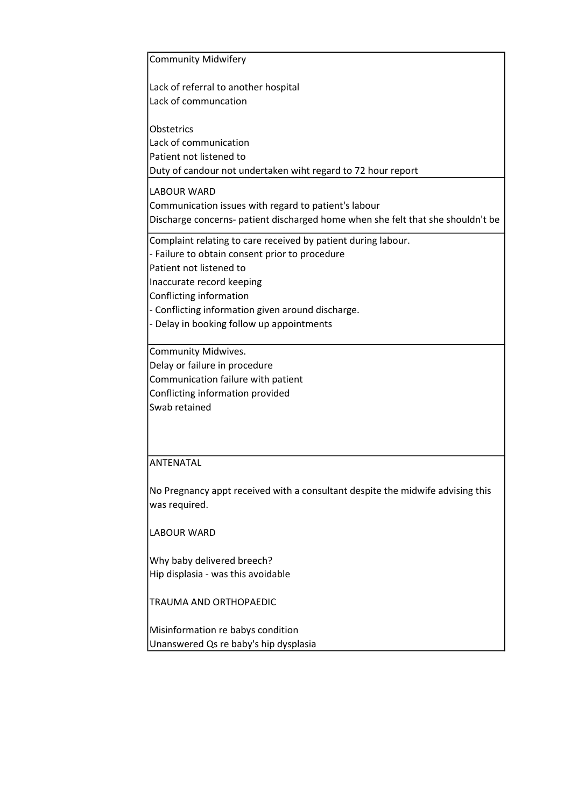Community Midwifery Lack of referral to another hospital Lack of communcation **Obstetrics** Lack of communication Patient not listened to Duty of candour not undertaken wiht regard to 72 hour report LABOUR WARD Communication issues with regard to patient's labour Discharge concerns- patient discharged home when she felt that she shouldn't be Complaint relating to care received by patient during labour. - Failure to obtain consent prior to procedure Patient not listened to Inaccurate record keeping Conflicting information - Conflicting information given around discharge. - Delay in booking follow up appointments Community Midwives. Delay or failure in procedure Communication failure with patient Conflicting information provided Swab retained

#### ANTENATAL

No Pregnancy appt received with a consultant despite the midwife advising this was required.

LABOUR WARD

Why baby delivered breech? Hip displasia - was this avoidable

TRAUMA AND ORTHOPAEDIC

Misinformation re babys condition Unanswered Qs re baby's hip dysplasia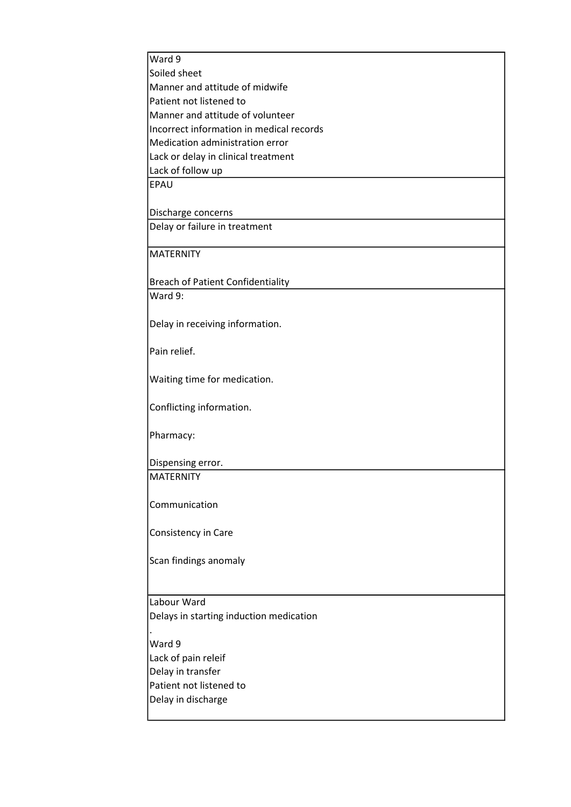| Ward 9                                   |
|------------------------------------------|
| Soiled sheet                             |
| Manner and attitude of midwife           |
| Patient not listened to                  |
| Manner and attitude of volunteer         |
| Incorrect information in medical records |
| Medication administration error          |
| Lack or delay in clinical treatment      |
| Lack of follow up                        |
| <b>EPAU</b>                              |
|                                          |
| Discharge concerns                       |
| Delay or failure in treatment            |
|                                          |
| <b>MATERNITY</b>                         |
|                                          |
| <b>Breach of Patient Confidentiality</b> |
| Ward 9:                                  |
|                                          |
| Delay in receiving information.          |
|                                          |
| Pain relief.                             |
|                                          |
| Waiting time for medication.             |
|                                          |
| Conflicting information.                 |
|                                          |
| Pharmacy:                                |
|                                          |
| Dispensing error.                        |
| MATERNITY                                |
|                                          |
| Communication                            |
|                                          |
| Consistency in Care                      |
|                                          |
| Scan findings anomaly                    |
|                                          |
|                                          |
| Labour Ward                              |
| Delays in starting induction medication  |
|                                          |
| Ward 9                                   |
|                                          |
| Lack of pain releif                      |
| Delay in transfer                        |
| Patient not listened to                  |
| Delay in discharge                       |
|                                          |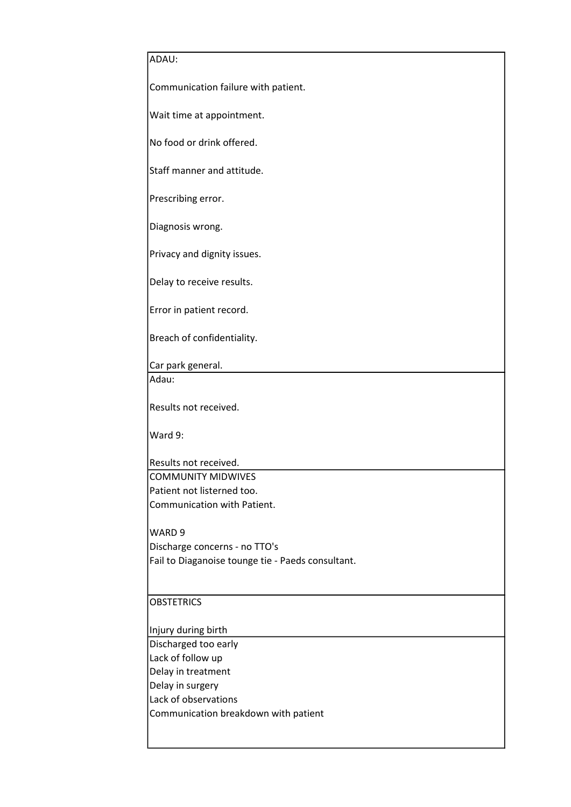| ADAU:                                                   |
|---------------------------------------------------------|
|                                                         |
| Communication failure with patient.                     |
|                                                         |
| Wait time at appointment.                               |
| No food or drink offered.                               |
|                                                         |
| Staff manner and attitude.                              |
|                                                         |
| Prescribing error.                                      |
| Diagnosis wrong.                                        |
|                                                         |
| Privacy and dignity issues.                             |
|                                                         |
| Delay to receive results.                               |
| Error in patient record.                                |
|                                                         |
| Breach of confidentiality.                              |
|                                                         |
| Car park general.                                       |
| Adau:                                                   |
| Results not received.                                   |
|                                                         |
| Ward 9:                                                 |
|                                                         |
| Results not received.                                   |
| <b>COMMUNITY MIDWIVES</b><br>Patient not listerned too. |
| Communication with Patient.                             |
|                                                         |
| WARD 9                                                  |
| Discharge concerns - no TTO's                           |
| Fail to Diaganoise tounge tie - Paeds consultant.       |
|                                                         |
| <b>OBSTETRICS</b>                                       |
|                                                         |
| Injury during birth                                     |
| Discharged too early                                    |
| Lack of follow up                                       |
| Delay in treatment                                      |
| Delay in surgery                                        |
| Lack of observations                                    |
| Communication breakdown with patient                    |
|                                                         |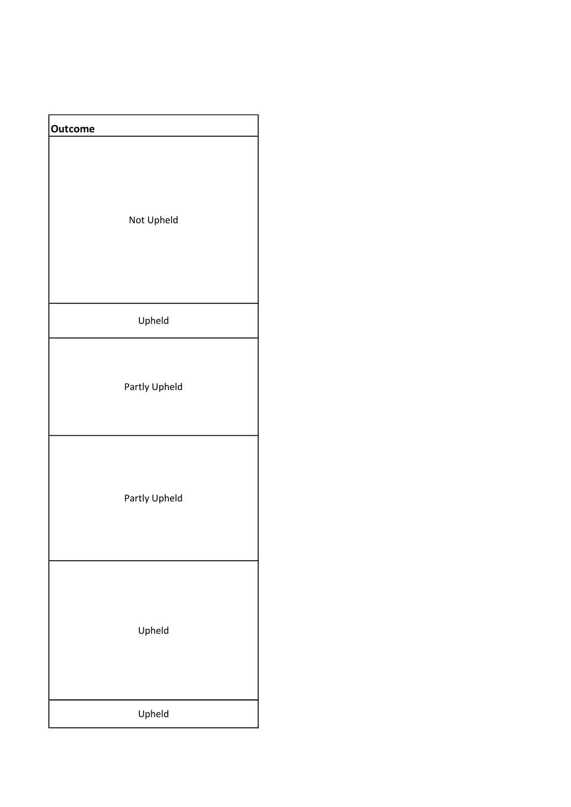| <b>Outcome</b> |
|----------------|
| Not Upheld     |
| Upheld         |
| Partly Upheld  |
| Partly Upheld  |
| Upheld         |
| Upheld         |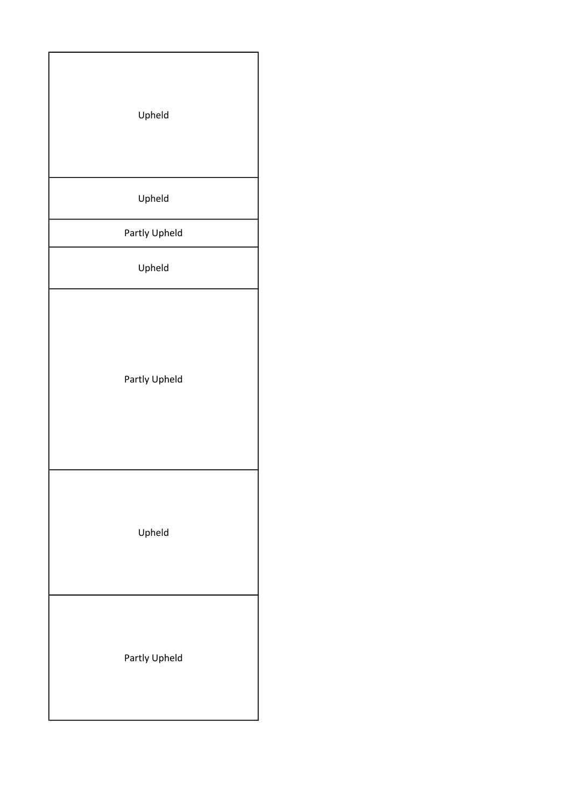| Upheld        |  |
|---------------|--|
| Upheld        |  |
| Partly Upheld |  |
| Upheld        |  |
| Partly Upheld |  |
| Upheld        |  |
| Partly Upheld |  |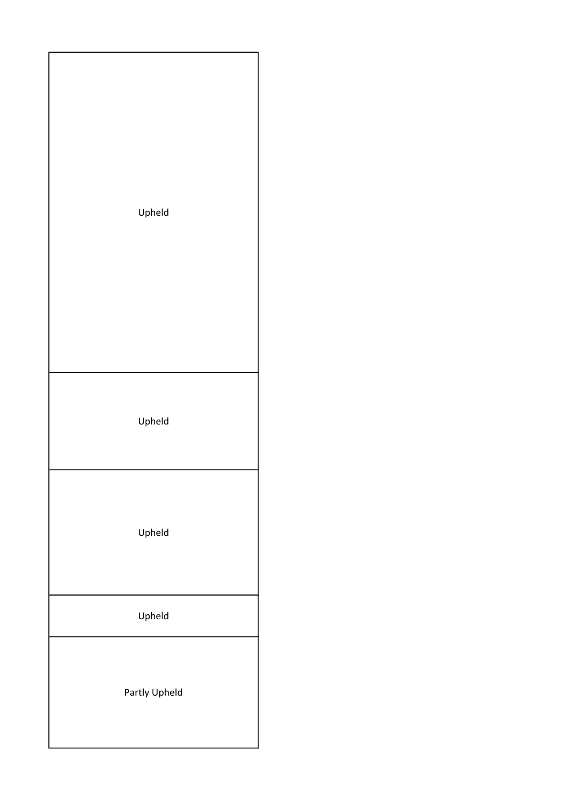| Upheld        |
|---------------|
| Upheld        |
| Upheld        |
| Upheld        |
| Partly Upheld |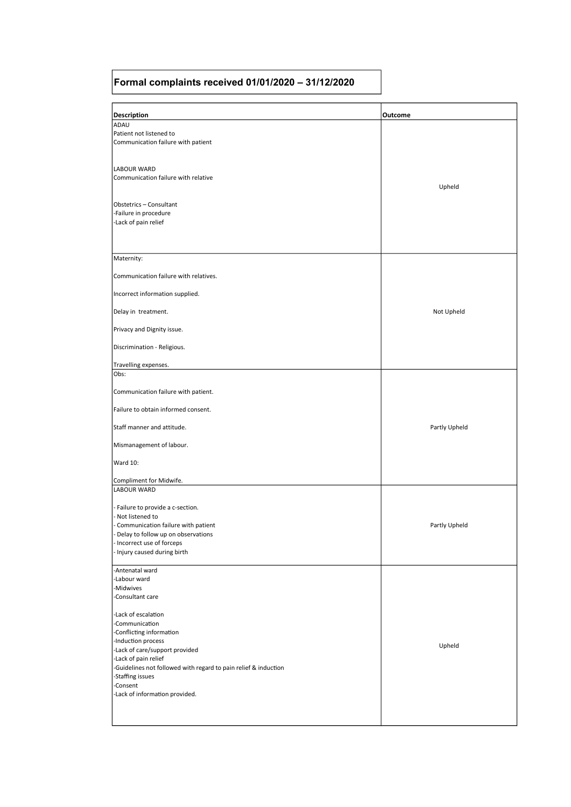#### Formal complaints received 01/01/2020 – 31/12/2020

| <b>Description</b>                                                                 | Outcome       |
|------------------------------------------------------------------------------------|---------------|
| ADAU                                                                               |               |
| Patient not listened to                                                            |               |
| Communication failure with patient                                                 |               |
|                                                                                    |               |
|                                                                                    |               |
| <b>LABOUR WARD</b>                                                                 |               |
| Communication failure with relative                                                |               |
|                                                                                    | Upheld        |
|                                                                                    |               |
| Obstetrics - Consultant                                                            |               |
| -Failure in procedure                                                              |               |
| -Lack of pain relief                                                               |               |
|                                                                                    |               |
|                                                                                    |               |
|                                                                                    |               |
| Maternity:                                                                         |               |
| Communication failure with relatives.                                              |               |
| Incorrect information supplied.                                                    |               |
|                                                                                    |               |
| Delay in treatment.                                                                | Not Upheld    |
| Privacy and Dignity issue.                                                         |               |
|                                                                                    |               |
| Discrimination - Religious.                                                        |               |
|                                                                                    |               |
| Travelling expenses.                                                               |               |
| Obs:                                                                               |               |
| Communication failure with patient.                                                |               |
| Failure to obtain informed consent.                                                |               |
| Staff manner and attitude.                                                         | Partly Upheld |
|                                                                                    |               |
| Mismanagement of labour.                                                           |               |
| Ward 10:                                                                           |               |
|                                                                                    |               |
| Compliment for Midwife.                                                            |               |
| <b>LABOUR WARD</b>                                                                 |               |
|                                                                                    |               |
| - Failure to provide a c-section.                                                  |               |
| - Not listened to                                                                  |               |
| - Communication failure with patient                                               | Partly Upheld |
| Delay to follow up on observations                                                 |               |
| Incorrect use of forceps                                                           |               |
| - Injury caused during birth                                                       |               |
|                                                                                    |               |
| Antenatal ward                                                                     |               |
| -Labour ward                                                                       |               |
| -Midwives                                                                          |               |
| Consultant care                                                                    |               |
| -Lack of escalation                                                                |               |
| -Communication                                                                     |               |
| Conflicting information                                                            |               |
| -Induction process                                                                 |               |
| -Lack of care/support provided                                                     | Upheld        |
|                                                                                    |               |
| -Lack of pain relief                                                               |               |
| Guidelines not followed with regard to pain relief & induction<br>-Staffing issues |               |
| -Consent                                                                           |               |
| -Lack of information provided.                                                     |               |
|                                                                                    |               |
|                                                                                    |               |
|                                                                                    |               |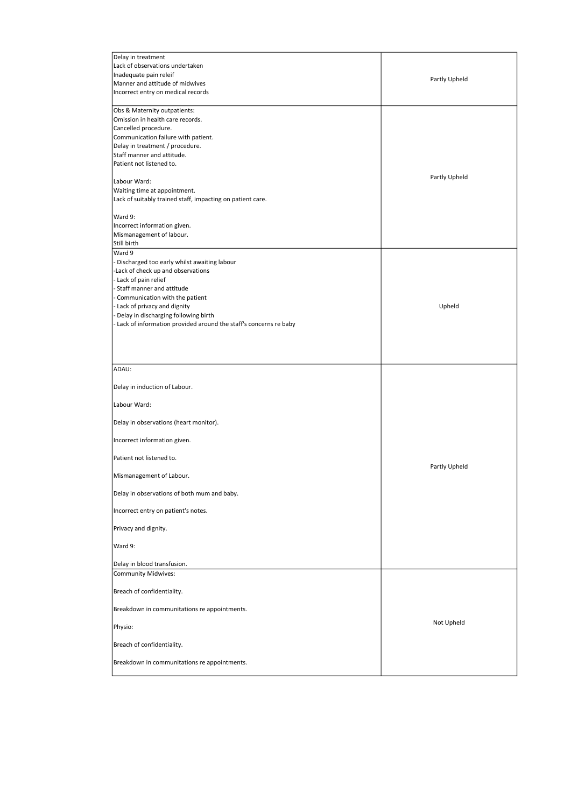| Delay in treatment                                                 |               |
|--------------------------------------------------------------------|---------------|
| Lack of observations undertaken                                    |               |
| Inadequate pain releif                                             |               |
| Manner and attitude of midwives                                    | Partly Upheld |
| Incorrect entry on medical records                                 |               |
|                                                                    |               |
| Obs & Maternity outpatients:                                       |               |
| Omission in health care records.                                   |               |
| Cancelled procedure.                                               |               |
| Communication failure with patient.                                |               |
| Delay in treatment / procedure.                                    |               |
| Staff manner and attitude.                                         |               |
| Patient not listened to.                                           |               |
|                                                                    |               |
| Labour Ward:                                                       | Partly Upheld |
|                                                                    |               |
| Waiting time at appointment.                                       |               |
| Lack of suitably trained staff, impacting on patient care.         |               |
| Ward 9:                                                            |               |
|                                                                    |               |
| Incorrect information given.                                       |               |
| Mismanagement of labour.                                           |               |
| Still birth                                                        |               |
| Ward 9                                                             |               |
| - Discharged too early whilst awaiting labour                      |               |
| -Lack of check up and observations                                 |               |
| - Lack of pain relief                                              |               |
| - Staff manner and attitude                                        |               |
| Communication with the patient                                     |               |
| Lack of privacy and dignity                                        | Upheld        |
| - Delay in discharging following birth                             |               |
| - Lack of information provided around the staff's concerns re baby |               |
|                                                                    |               |
|                                                                    |               |
|                                                                    |               |
|                                                                    |               |
| ADAU:                                                              |               |
|                                                                    |               |
| Delay in induction of Labour.                                      |               |
|                                                                    |               |
| Labour Ward:                                                       |               |
|                                                                    |               |
| Delay in observations (heart monitor).                             |               |
|                                                                    |               |
| Incorrect information given.                                       |               |
|                                                                    |               |
| Patient not listened to.                                           |               |
|                                                                    |               |
|                                                                    |               |
|                                                                    | Partly Upheld |
| Mismanagement of Labour.                                           |               |
|                                                                    |               |
| Delay in observations of both mum and baby.                        |               |
|                                                                    |               |
| Incorrect entry on patient's notes.                                |               |
|                                                                    |               |
| Privacy and dignity.                                               |               |
|                                                                    |               |
| Ward 9:                                                            |               |
|                                                                    |               |
| Delay in blood transfusion.                                        |               |
| <b>Community Midwives:</b>                                         |               |
|                                                                    |               |
| Breach of confidentiality.                                         |               |
|                                                                    |               |
| Breakdown in communitations re appointments.                       |               |
|                                                                    | Not Upheld    |
| Physio:                                                            |               |
|                                                                    |               |
| Breach of confidentiality.                                         |               |
|                                                                    |               |
| Breakdown in communitations re appointments.                       |               |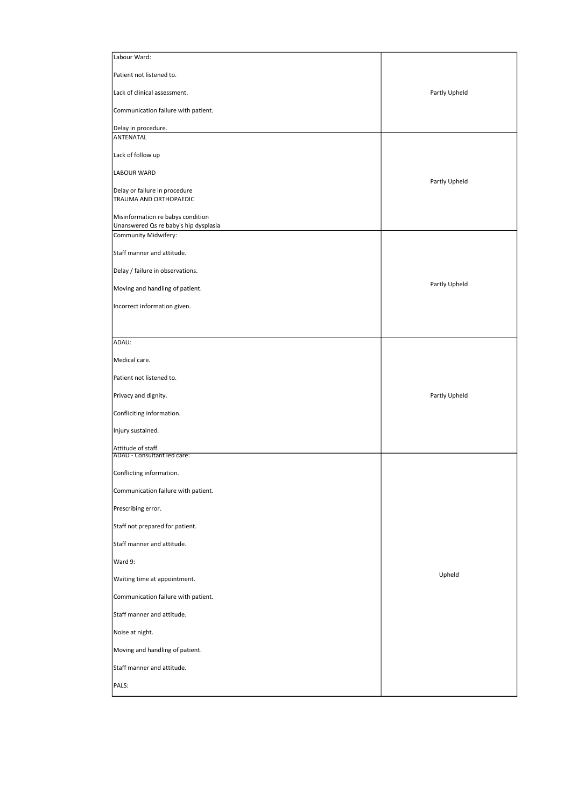| Labour Ward:                                                  |               |
|---------------------------------------------------------------|---------------|
| Patient not listened to.                                      |               |
| Lack of clinical assessment.                                  | Partly Upheld |
| Communication failure with patient.                           |               |
| Delay in procedure.<br>ANTENATAL                              |               |
| Lack of follow up                                             |               |
| LABOUR WARD                                                   |               |
| Delay or failure in procedure                                 | Partly Upheld |
| TRAUMA AND ORTHOPAEDIC                                        |               |
| Misinformation re babys condition                             |               |
| Unanswered Qs re baby's hip dysplasia<br>Community Midwifery: |               |
| Staff manner and attitude.                                    |               |
| Delay / failure in observations.                              |               |
| Moving and handling of patient.                               | Partly Upheld |
| Incorrect information given.                                  |               |
|                                                               |               |
| ADAU:                                                         |               |
| Medical care.                                                 |               |
| Patient not listened to.                                      |               |
| Privacy and dignity.                                          | Partly Upheld |
| Confliciting information.                                     |               |
| Injury sustained.                                             |               |
| Attitude of staff.<br>ADAU - Consultant led care:             |               |
| Conflicting information.                                      |               |
| Communication failure with patient.                           |               |
| Prescribing error.                                            |               |
| Staff not prepared for patient.                               |               |
| Staff manner and attitude.                                    |               |
| Ward 9:                                                       |               |
| Waiting time at appointment.                                  | Upheld        |
| Communication failure with patient.                           |               |
| Staff manner and attitude.                                    |               |
| Noise at night.                                               |               |
| Moving and handling of patient.                               |               |
| Staff manner and attitude.                                    |               |
| PALS:                                                         |               |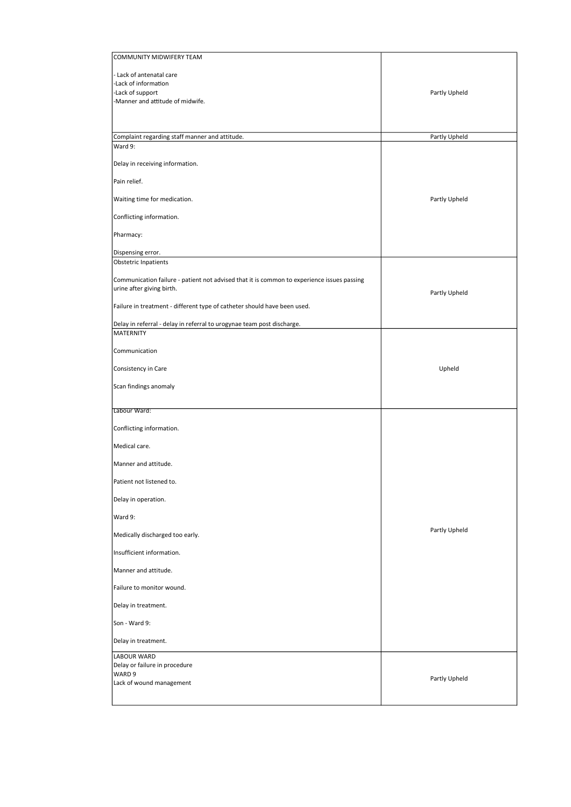| COMMUNITY MIDWIFERY TEAM                                                                                                |               |
|-------------------------------------------------------------------------------------------------------------------------|---------------|
| - Lack of antenatal care                                                                                                |               |
| -Lack of information                                                                                                    |               |
| -Lack of support                                                                                                        | Partly Upheld |
| -Manner and attitude of midwife.                                                                                        |               |
|                                                                                                                         |               |
| Complaint regarding staff manner and attitude.                                                                          | Partly Upheld |
| Ward 9:                                                                                                                 |               |
| Delay in receiving information.                                                                                         |               |
| Pain relief.                                                                                                            |               |
| Waiting time for medication.                                                                                            | Partly Upheld |
| Conflicting information.                                                                                                |               |
| Pharmacy:                                                                                                               |               |
| Dispensing error.                                                                                                       |               |
| Obstetric Inpatients                                                                                                    |               |
| Communication failure - patient not advised that it is common to experience issues passing<br>urine after giving birth. | Partly Upheld |
| Failure in treatment - different type of catheter should have been used.                                                |               |
| Delay in referral - delay in referral to urogynae team post discharge.<br><b>MATERNITY</b>                              |               |
| Communication                                                                                                           |               |
| Consistency in Care                                                                                                     | Upheld        |
| Scan findings anomaly                                                                                                   |               |
| Labour Ward:                                                                                                            |               |
| Conflicting information.                                                                                                |               |
| Medical care.                                                                                                           |               |
| Manner and attitude.                                                                                                    |               |
| Patient not listened to.                                                                                                |               |
| Delay in operation.                                                                                                     |               |
| Ward 9:                                                                                                                 | Partly Upheld |
| Medically discharged too early.<br>Insufficient information.                                                            |               |
| Manner and attitude.                                                                                                    |               |
| Failure to monitor wound.                                                                                               |               |
| Delay in treatment.                                                                                                     |               |
| Son - Ward 9:                                                                                                           |               |
| Delay in treatment.                                                                                                     |               |
| LABOUR WARD                                                                                                             |               |
| Delay or failure in procedure                                                                                           |               |
| WARD 9<br>Lack of wound management                                                                                      | Partly Upheld |
|                                                                                                                         |               |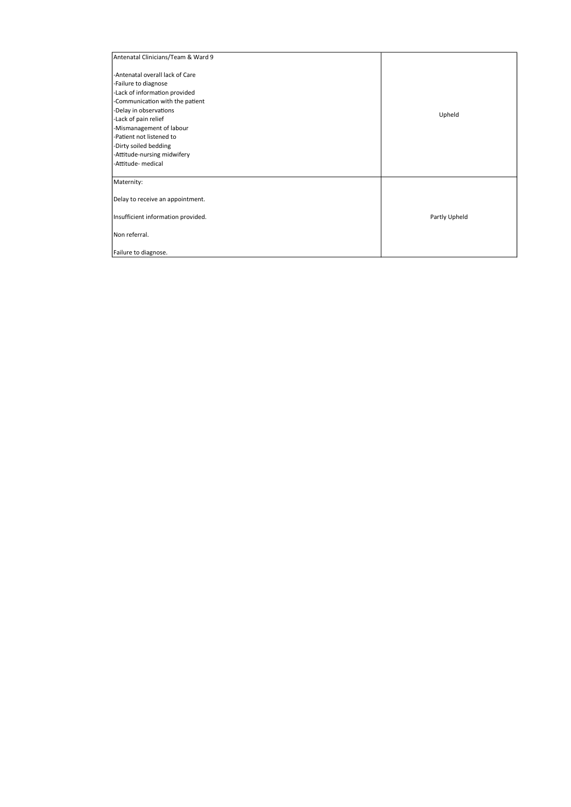| Antenatal Clinicians/Team & Ward 9 |               |
|------------------------------------|---------------|
| -Antenatal overall lack of Care    |               |
| -Failure to diagnose               |               |
| -Lack of information provided      |               |
| -Communication with the patient    |               |
| -Delay in observations             |               |
| -Lack of pain relief               | Upheld        |
| -Mismanagement of labour           |               |
| -Patient not listened to           |               |
| -Dirty soiled bedding              |               |
| -Attitude-nursing midwifery        |               |
| -Attitude- medical                 |               |
| Maternity:                         |               |
| Delay to receive an appointment.   |               |
| Insufficient information provided. | Partly Upheld |
| Non referral.                      |               |
| Failure to diagnose.               |               |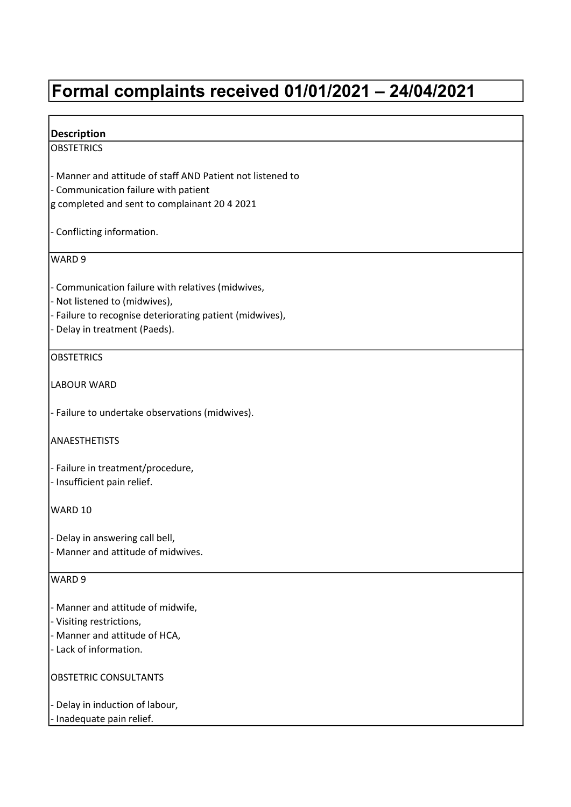# Formal complaints received 01/01/2021 – 24/04/2021

Г

| <b>Description</b>                                                                                                                                                              |
|---------------------------------------------------------------------------------------------------------------------------------------------------------------------------------|
| <b>OBSTETRICS</b>                                                                                                                                                               |
| - Manner and attitude of staff AND Patient not listened to<br>- Communication failure with patient<br>g completed and sent to complainant 20 4 2021                             |
| - Conflicting information.                                                                                                                                                      |
| WARD 9                                                                                                                                                                          |
| - Communication failure with relatives (midwives,<br>- Not listened to (midwives),<br>- Failure to recognise deteriorating patient (midwives),<br>- Delay in treatment (Paeds). |
| <b>OBSTETRICS</b>                                                                                                                                                               |
| <b>LABOUR WARD</b>                                                                                                                                                              |
| - Failure to undertake observations (midwives).                                                                                                                                 |
| <b>ANAESTHETISTS</b>                                                                                                                                                            |
| - Failure in treatment/procedure,<br>- Insufficient pain relief.                                                                                                                |
| WARD 10                                                                                                                                                                         |
| - Delay in answering call bell,<br>- Manner and attitude of midwives.                                                                                                           |
| WARD <sub>9</sub>                                                                                                                                                               |
| - Manner and attitude of midwife,<br>- Visiting restrictions,<br>- Manner and attitude of HCA,<br>- Lack of information.                                                        |
| OBSTETRIC CONSULTANTS                                                                                                                                                           |
| - Delay in induction of labour,<br>- Inadequate pain relief.                                                                                                                    |